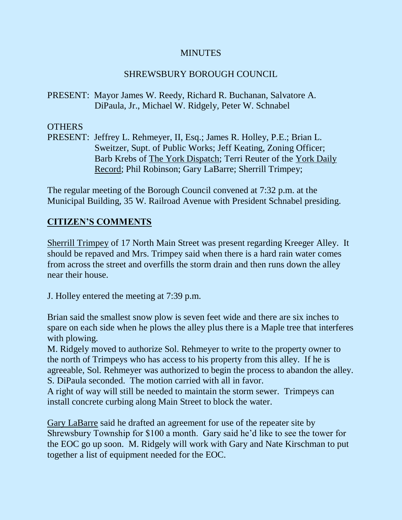### **MINUTES**

# SHREWSBURY BOROUGH COUNCIL

PRESENT: Mayor James W. Reedy, Richard R. Buchanan, Salvatore A. DiPaula, Jr., Michael W. Ridgely, Peter W. Schnabel

# OTHERS

PRESENT: Jeffrey L. Rehmeyer, II, Esq.; James R. Holley, P.E.; Brian L. Sweitzer, Supt. of Public Works; Jeff Keating, Zoning Officer; Barb Krebs of The York Dispatch; Terri Reuter of the York Daily Record; Phil Robinson; Gary LaBarre; Sherrill Trimpey;

The regular meeting of the Borough Council convened at 7:32 p.m. at the Municipal Building, 35 W. Railroad Avenue with President Schnabel presiding.

# **CITIZEN'S COMMENTS**

Sherrill Trimpey of 17 North Main Street was present regarding Kreeger Alley. It should be repaved and Mrs. Trimpey said when there is a hard rain water comes from across the street and overfills the storm drain and then runs down the alley near their house.

J. Holley entered the meeting at 7:39 p.m.

Brian said the smallest snow plow is seven feet wide and there are six inches to spare on each side when he plows the alley plus there is a Maple tree that interferes with plowing.

M. Ridgely moved to authorize Sol. Rehmeyer to write to the property owner to the north of Trimpeys who has access to his property from this alley. If he is agreeable, Sol. Rehmeyer was authorized to begin the process to abandon the alley. S. DiPaula seconded. The motion carried with all in favor.

A right of way will still be needed to maintain the storm sewer. Trimpeys can install concrete curbing along Main Street to block the water.

Gary LaBarre said he drafted an agreement for use of the repeater site by Shrewsbury Township for \$100 a month. Gary said he'd like to see the tower for the EOC go up soon. M. Ridgely will work with Gary and Nate Kirschman to put together a list of equipment needed for the EOC.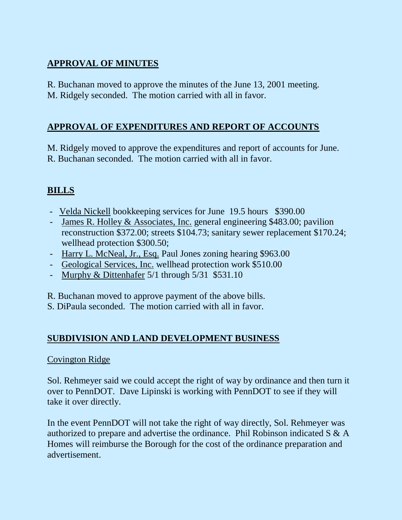# **APPROVAL OF MINUTES**

R. Buchanan moved to approve the minutes of the June 13, 2001 meeting. M. Ridgely seconded. The motion carried with all in favor.

# **APPROVAL OF EXPENDITURES AND REPORT OF ACCOUNTS**

M. Ridgely moved to approve the expenditures and report of accounts for June. R. Buchanan seconded. The motion carried with all in favor.

# **BILLS**

- Velda Nickell bookkeeping services for June 19.5 hours \$390.00
- James R. Holley & Associates, Inc. general engineering \$483.00; pavilion reconstruction \$372.00; streets \$104.73; sanitary sewer replacement \$170.24; wellhead protection \$300.50;
- Harry L. McNeal, Jr., Esq. Paul Jones zoning hearing \$963.00
- Geological Services, Inc. wellhead protection work \$510.00
- Murphy & Dittenhafer 5/1 through 5/31 \$531.10

R. Buchanan moved to approve payment of the above bills.

S. DiPaula seconded. The motion carried with all in favor.

# **SUBDIVISION AND LAND DEVELOPMENT BUSINESS**

### Covington Ridge

Sol. Rehmeyer said we could accept the right of way by ordinance and then turn it over to PennDOT. Dave Lipinski is working with PennDOT to see if they will take it over directly.

In the event PennDOT will not take the right of way directly, Sol. Rehmeyer was authorized to prepare and advertise the ordinance. Phil Robinson indicated S & A Homes will reimburse the Borough for the cost of the ordinance preparation and advertisement.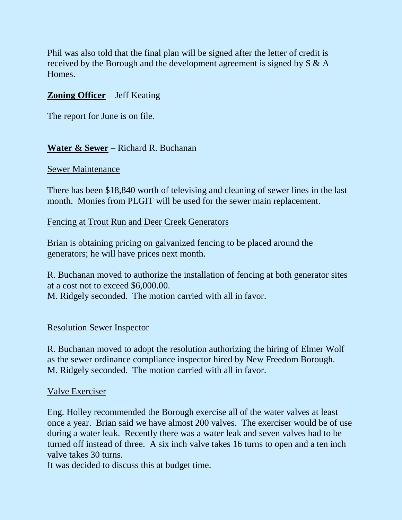Phil was also told that the final plan will be signed after the letter of credit is received by the Borough and the development agreement is signed by S & A Homes.

### **Zoning Officer** – Jeff Keating

The report for June is on file.

### **Water & Sewer** – Richard R. Buchanan

#### Sewer Maintenance

There has been \$18,840 worth of televising and cleaning of sewer lines in the last month. Monies from PLGIT will be used for the sewer main replacement.

#### Fencing at Trout Run and Deer Creek Generators

Brian is obtaining pricing on galvanized fencing to be placed around the generators; he will have prices next month.

R. Buchanan moved to authorize the installation of fencing at both generator sites at a cost not to exceed \$6,000.00. M. Ridgely seconded. The motion carried with all in favor.

#### Resolution Sewer Inspector

R. Buchanan moved to adopt the resolution authorizing the hiring of Elmer Wolf as the sewer ordinance compliance inspector hired by New Freedom Borough. M. Ridgely seconded. The motion carried with all in favor.

#### Valve Exerciser

Eng. Holley recommended the Borough exercise all of the water valves at least once a year. Brian said we have almost 200 valves. The exerciser would be of use during a water leak. Recently there was a water leak and seven valves had to be turned off instead of three. A six inch valve takes 16 turns to open and a ten inch valve takes 30 turns.

It was decided to discuss this at budget time.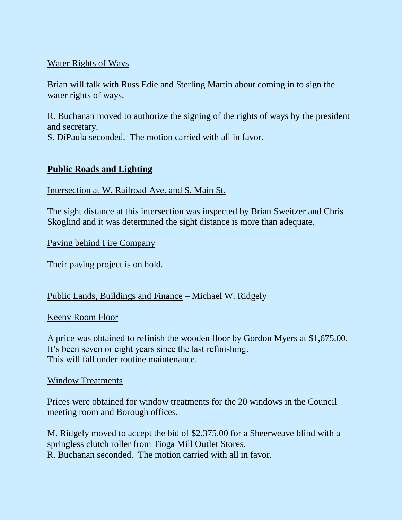### Water Rights of Ways

Brian will talk with Russ Edie and Sterling Martin about coming in to sign the water rights of ways.

R. Buchanan moved to authorize the signing of the rights of ways by the president and secretary.

S. DiPaula seconded. The motion carried with all in favor.

### **Public Roads and Lighting**

Intersection at W. Railroad Ave. and S. Main St.

The sight distance at this intersection was inspected by Brian Sweitzer and Chris Skoglind and it was determined the sight distance is more than adequate.

Paving behind Fire Company

Their paving project is on hold.

### Public Lands, Buildings and Finance – Michael W. Ridgely

#### Keeny Room Floor

A price was obtained to refinish the wooden floor by Gordon Myers at \$1,675.00. It's been seven or eight years since the last refinishing. This will fall under routine maintenance.

#### Window Treatments

Prices were obtained for window treatments for the 20 windows in the Council meeting room and Borough offices.

M. Ridgely moved to accept the bid of \$2,375.00 for a Sheerweave blind with a springless clutch roller from Tioga Mill Outlet Stores. R. Buchanan seconded. The motion carried with all in favor.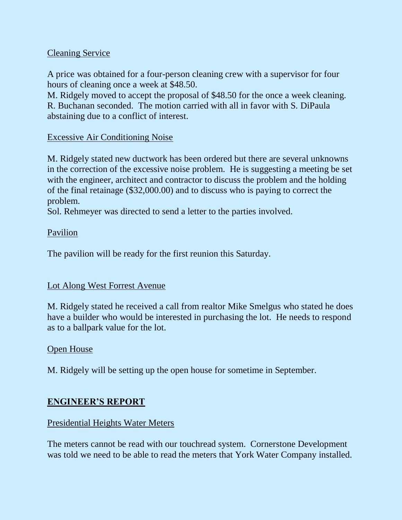### Cleaning Service

A price was obtained for a four-person cleaning crew with a supervisor for four hours of cleaning once a week at \$48.50.

M. Ridgely moved to accept the proposal of \$48.50 for the once a week cleaning. R. Buchanan seconded. The motion carried with all in favor with S. DiPaula abstaining due to a conflict of interest.

### Excessive Air Conditioning Noise

M. Ridgely stated new ductwork has been ordered but there are several unknowns in the correction of the excessive noise problem. He is suggesting a meeting be set with the engineer, architect and contractor to discuss the problem and the holding of the final retainage (\$32,000.00) and to discuss who is paying to correct the problem.

Sol. Rehmeyer was directed to send a letter to the parties involved.

### Pavilion

The pavilion will be ready for the first reunion this Saturday.

### Lot Along West Forrest Avenue

M. Ridgely stated he received a call from realtor Mike Smelgus who stated he does have a builder who would be interested in purchasing the lot. He needs to respond as to a ballpark value for the lot.

### Open House

M. Ridgely will be setting up the open house for sometime in September.

### **ENGINEER'S REPORT**

### Presidential Heights Water Meters

The meters cannot be read with our touchread system. Cornerstone Development was told we need to be able to read the meters that York Water Company installed.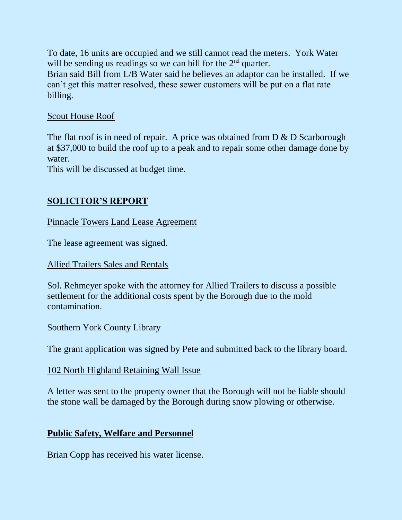To date, 16 units are occupied and we still cannot read the meters. York Water will be sending us readings so we can bill for the  $2<sup>nd</sup>$  quarter.

Brian said Bill from L/B Water said he believes an adaptor can be installed. If we can't get this matter resolved, these sewer customers will be put on a flat rate billing.

#### Scout House Roof

The flat roof is in need of repair. A price was obtained from  $D \& D$  Scarborough at \$37,000 to build the roof up to a peak and to repair some other damage done by water.

This will be discussed at budget time.

# **SOLICITOR'S REPORT**

Pinnacle Towers Land Lease Agreement

The lease agreement was signed.

#### Allied Trailers Sales and Rentals

Sol. Rehmeyer spoke with the attorney for Allied Trailers to discuss a possible settlement for the additional costs spent by the Borough due to the mold contamination.

### Southern York County Library

The grant application was signed by Pete and submitted back to the library board.

### 102 North Highland Retaining Wall Issue

A letter was sent to the property owner that the Borough will not be liable should the stone wall be damaged by the Borough during snow plowing or otherwise.

### **Public Safety, Welfare and Personnel**

Brian Copp has received his water license.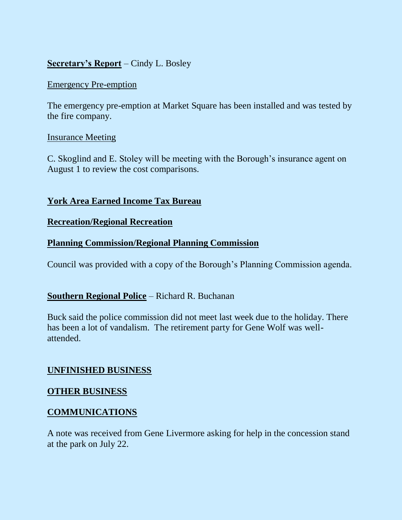### **Secretary's Report** – Cindy L. Bosley

#### Emergency Pre-emption

The emergency pre-emption at Market Square has been installed and was tested by the fire company.

#### Insurance Meeting

C. Skoglind and E. Stoley will be meeting with the Borough's insurance agent on August 1 to review the cost comparisons.

### **York Area Earned Income Tax Bureau**

#### **Recreation/Regional Recreation**

### **Planning Commission/Regional Planning Commission**

Council was provided with a copy of the Borough's Planning Commission agenda.

### **Southern Regional Police** – Richard R. Buchanan

Buck said the police commission did not meet last week due to the holiday. There has been a lot of vandalism. The retirement party for Gene Wolf was wellattended.

#### **UNFINISHED BUSINESS**

#### **OTHER BUSINESS**

### **COMMUNICATIONS**

A note was received from Gene Livermore asking for help in the concession stand at the park on July 22.